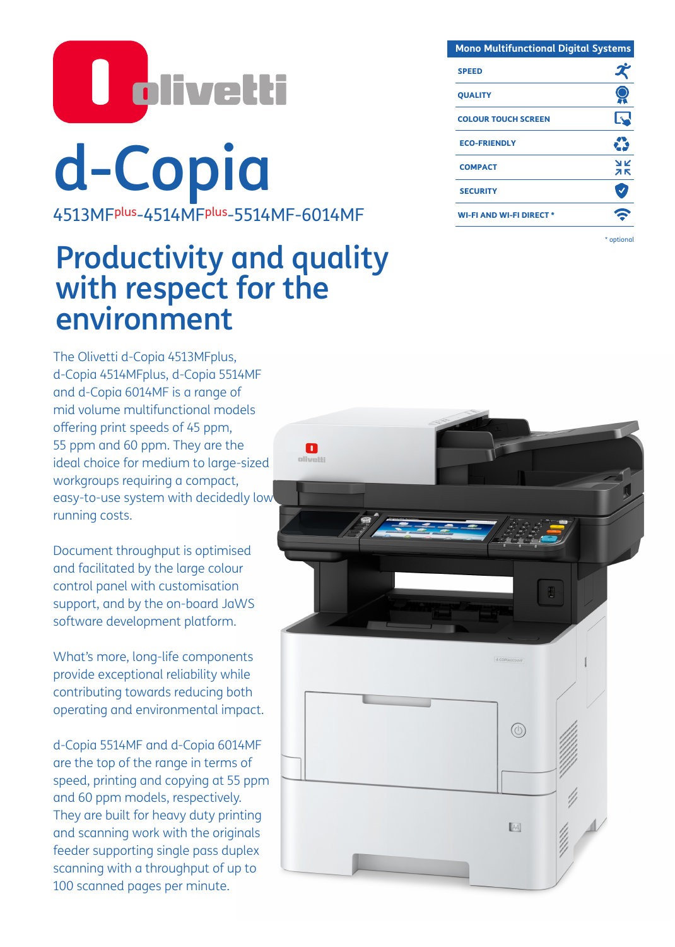# **O** olivetti d-Copia 4513MFplus-4514MFplus-5514MF-6014MF

## Productivity and quality with respect for the environment

The Olivetti d-Copia 4513MFplus, d-Copia 4514MFplus, d-Copia 5514MF and d-Copia 6014MF is a range of mid volume multifunctional models offering print speeds of 45 ppm, 55 ppm and 60 ppm. They are the ideal choice for medium to large-sized workgroups requiring a compact, easy-to-use system with decidedly low running costs.

Document throughput is optimised and facilitated by the large colour control panel with customisation support, and by the on-board JaWS software development platform.

What's more, long-life components provide exceptional reliability while contributing towards reducing both operating and environmental impact.

d-Copia 5514MF and d-Copia 6014MF are the top of the range in terms of speed, printing and copying at 55 ppm and 60 ppm models, respectively. They are built for heavy duty printing and scanning work with the originals feeder supporting single pass duplex scanning with a throughput of up to 100 scanned pages per minute.

| <b>Mono Multifunctional Digital Systems</b> |          |
|---------------------------------------------|----------|
| <b>SPEED</b>                                |          |
| <b>QUALITY</b>                              |          |
| <b>COLOUR TOUCH SCREEN</b>                  |          |
| <b>ECO-FRIENDLY</b>                         |          |
| <b>COMPACT</b>                              | YK<br>ЯΚ |
| <b>SECURITY</b>                             |          |
| <b>WI-FI AND WI-FI DIRECT *</b>             |          |

\* optional

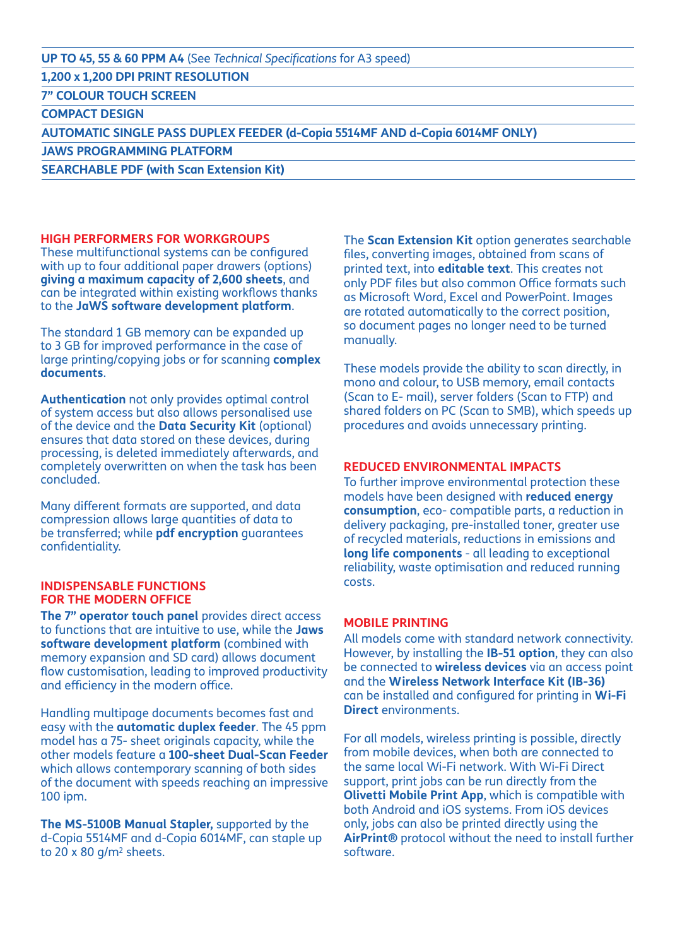**UP TO 45, 55 & 60 PPM A4** (See *Technical Specifications* for A3 speed)

**1,200 x 1,200 DPI PRINT RESOLUTION**

**7" COLOUR TOUCH SCREEN**

**COMPACT DESIGN**

**AUTOMATIC SINGLE PASS DUPLEX FEEDER (d-Copia 5514MF AND d-Copia 6014MF ONLY)**

**JAWS PROGRAMMING PLATFORM**

**SEARCHABLE PDF (with Scan Extension Kit)**

#### **HIGH PERFORMERS FOR WORKGROUPS**

These multifunctional systems can be configured with up to four additional paper drawers (options) **giving a maximum capacity of 2,600 sheets**, and can be integrated within existing workflows thanks to the **JaWS software development platform**.

The standard 1 GB memory can be expanded up to 3 GB for improved performance in the case of large printing/copying jobs or for scanning **complex documents**.

**Authentication** not only provides optimal control of system access but also allows personalised use of the device and the **Data Security Kit** (optional) ensures that data stored on these devices, during processing, is deleted immediately afterwards, and completely overwritten on when the task has been concluded.

Many different formats are supported, and data compression allows large quantities of data to be transferred; while **pdf encryption** guarantees confidentiality.

#### **INDISPENSABLE FUNCTIONS FOR THE MODERN OFFICE**

**The 7" operator touch panel** provides direct access to functions that are intuitive to use, while the **Jaws software development platform** (combined with memory expansion and SD card) allows document flow customisation, leading to improved productivity and efficiency in the modern office.

Handling multipage documents becomes fast and easy with the **automatic duplex feeder**. The 45 ppm model has a 75- sheet originals capacity, while the other models feature a **100-sheet Dual-Scan Feeder**  which allows contemporary scanning of both sides of the document with speeds reaching an impressive 100 ipm.

**The MS-5100B Manual Stapler,** supported by the d-Copia 5514MF and d-Copia 6014MF, can staple up to 20 x 80 g/m<sup>2</sup> sheets.

The **Scan Extension Kit** option generates searchable files, converting images, obtained from scans of printed text, into **editable text**. This creates not only PDF files but also common Office formats such as Microsoft Word, Excel and PowerPoint. Images are rotated automatically to the correct position, so document pages no longer need to be turned manually.

These models provide the ability to scan directly, in mono and colour, to USB memory, email contacts (Scan to E- mail), server folders (Scan to FTP) and shared folders on PC (Scan to SMB), which speeds up procedures and avoids unnecessary printing.

#### **REDUCED ENVIRONMENTAL IMPACTS**

To further improve environmental protection these models have been designed with **reduced energy consumption**, eco- compatible parts, a reduction in delivery packaging, pre-installed toner, greater use of recycled materials, reductions in emissions and **long life components** - all leading to exceptional reliability, waste optimisation and reduced running costs.

#### **MOBILE PRINTING**

All models come with standard network connectivity. However, by installing the **IB-51 option**, they can also be connected to **wireless devices** via an access point and the **Wireless Network Interface Kit (IB-36)**  can be installed and configured for printing in **Wi-Fi Direct** environments.

For all models, wireless printing is possible, directly from mobile devices, when both are connected to the same local Wi-Fi network. With Wi-Fi Direct support, print jobs can be run directly from the **Olivetti Mobile Print App**, which is compatible with both Android and iOS systems. From iOS devices only, jobs can also be printed directly using the **AirPrint®** protocol without the need to install further software.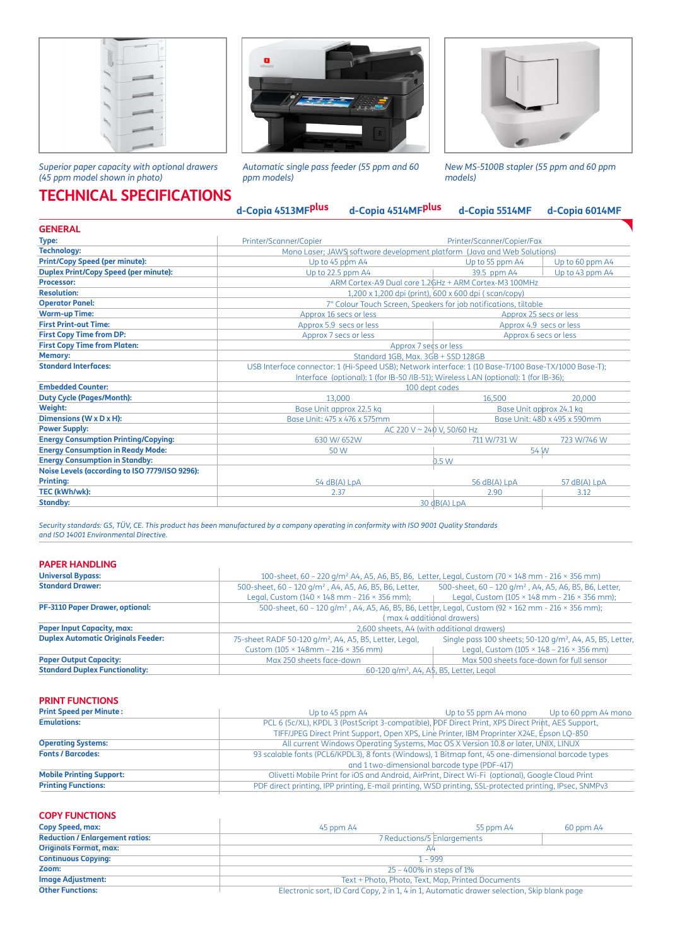

*Superior paper capacity with optional drawers (45 ppm model shown in photo)*

**GENERAL**



*Automatic single pass feeder (55 ppm and 60 ppm models)*



*New MS-5100B stapler (55 ppm and 60 ppm models)*

**TECHNICAL SPECIFICATIONS d-Copia 4513MFplus d-Copia 4514MFplus d-Copia 5514MF d-Copia 6014MF**

| Type:                                          | Printer/Scanner/Copier                                                                               | Printer/Scanner/Copier/Fax |                              |
|------------------------------------------------|------------------------------------------------------------------------------------------------------|----------------------------|------------------------------|
| <b>Technology:</b>                             | Mono Laser; JAWS software development platform (Java and Web Solutions)                              |                            |                              |
| <b>Print/Copy Speed (per minute):</b>          | Up to 45 ppm A4                                                                                      | Up to 55 ppm A4            | Up to 60 ppm A4              |
| <b>Duplex Print/Copy Speed (per minute):</b>   | Up to 22.5 ppm A4                                                                                    | 39.5 ppm A4                | Up to 43 ppm A4              |
| <b>Processor:</b>                              | ARM Cortex-A9 Dual core 1.2GHz + ARM Cortex-M3 100MHz                                                |                            |                              |
| <b>Resolution:</b>                             | $1,200 \times 1,200$ dpi (print), 600 x 600 dpi (scan/copy)                                          |                            |                              |
| <b>Operator Panel:</b>                         | 7" Colour Touch Screen, Speakers for job notifications, tiltable                                     |                            |                              |
| <b>Warm-up Time:</b>                           | Approx 16 secs or less<br>Approx 25 secs or less                                                     |                            |                              |
| <b>First Print-out Time:</b>                   | Approx 5.9 secs or less                                                                              | Approx 4.9 secs or less    |                              |
| <b>First Copy Time from DP:</b>                | Approx 7 secs or less                                                                                | Approx 6 secs or less      |                              |
| <b>First Copy Time from Platen:</b>            | Approx 7 seds or less                                                                                |                            |                              |
| <b>Memory:</b>                                 | Standard 1GB, Max. 3GB + SSD 128GB                                                                   |                            |                              |
| <b>Standard Interfaces:</b>                    | USB Interface connector: 1 (Hi-Speed USB); Network interface: 1 (10 Base-T/100 Base-TX/1000 Base-T); |                            |                              |
|                                                | Interface (optional): 1 (for IB-50 /IB-51); Wireless LAN (optional): 1 (for IB-36);                  |                            |                              |
| <b>Embedded Counter:</b>                       | 100 dept codes                                                                                       |                            |                              |
| <b>Duty Cycle (Pages/Month):</b>               | 13,000                                                                                               | 16.500                     | 20,000                       |
| Weight:                                        | Base Unit approx 22.5 kg                                                                             | Base Unit approx 24.1 kg   |                              |
| Dimensions (W x D x H):                        | Base Unit: 475 x 476 x 575mm                                                                         |                            | Base Unit: 480 x 495 x 590mm |
| <b>Power Supply:</b>                           | AC 220 V ~ 240 V, 50/60 Hz                                                                           |                            |                              |
| <b>Energy Consumption Printing/Copying:</b>    | 630 W/ 652W                                                                                          | 711 W/731 W                | 723 W/746 W                  |
| <b>Energy Consumption in Ready Mode:</b>       | 50 W                                                                                                 | 54 W                       |                              |
| <b>Energy Consumption in Standby:</b>          | 0.5W                                                                                                 |                            |                              |
| Noise Levels (according to ISO 7779/ISO 9296): |                                                                                                      |                            |                              |
| <b>Printing:</b>                               | 54 dB(A) LpA                                                                                         | 56 dB(A) LpA               | 57 dB(A) LpA                 |
| TEC (kWh/wk):                                  | 2.37                                                                                                 | 2.90                       | 3.12                         |
| <b>Standby:</b>                                | 30 dB(A) LpA                                                                                         |                            |                              |

*Security standards: GS, TÜV, CE. This product has been manufactured by a company operating in conformity with ISO 9001 Quality Standards and ISO 14001 Environmental Directive.*

#### **PAPER HANDLING**

| <b>Universal Bypass:</b>                  | 100-sheet, 60 - 220 q/m <sup>2</sup> A4, A5, A6, B5, B6, Letter, Legal, Custom (70 × 148 mm - 216 × 356 mm)                                  |                                                                       |  |
|-------------------------------------------|----------------------------------------------------------------------------------------------------------------------------------------------|-----------------------------------------------------------------------|--|
| <b>Standard Drawer:</b>                   | 500-sheet, 60 - 120 g/m <sup>2</sup> , A4, A5, A6, B5, B6, Letter,                                                                           | 500-sheet, 60 - 120 g/m <sup>2</sup> , A4, A5, A6, B5, B6, Letter,    |  |
|                                           | Legal, Custom (140 $\times$ 148 mm - 216 $\times$ 356 mm);                                                                                   | Legal, Custom (105 $\times$ 148 mm - 216 $\times$ 356 mm);            |  |
| <b>PF-3110 Paper Drawer, optional:</b>    | 500-sheet, 60 - 120 g/m <sup>2</sup> , A4, A5, A6, B5, B6, Letter, Legal, Custom (92 × 162 mm - 216 × 356 mm);<br>(max 4 additional drawers) |                                                                       |  |
|                                           |                                                                                                                                              |                                                                       |  |
| <b>Paper Input Capacity, max:</b>         | 2.600 sheets, A4 (with additional drawers)                                                                                                   |                                                                       |  |
| <b>Duplex Automatic Originals Feeder:</b> | 75-sheet RADF 50-120 g/m <sup>2</sup> , A4, A5, B5, Letter, Legal,                                                                           | Single pass 100 sheets; 50-120 g/m <sup>2</sup> , A4, A5, B5, Letter, |  |
|                                           | Custom (105 $\times$ 148mm – 216 $\times$ 356 mm)                                                                                            | Legal, Custom (105 $\times$ 148 – 216 $\times$ 356 mm)                |  |
| <b>Paper Output Capacity:</b>             | Max 250 sheets face-down                                                                                                                     | Max 500 sheets face-down for full sensor                              |  |
| <b>Standard Duplex Functionality:</b>     | 60-120 g/m <sup>2</sup> , A4, A5, B5, Letter, Legal                                                                                          |                                                                       |  |

#### **PRINT FUNCTIONS**

| Up to 45 ppm A4                                                                                    | Up to 55 ppm A4 mono | Up to 60 ppm A4 mono                                                                                    |
|----------------------------------------------------------------------------------------------------|----------------------|---------------------------------------------------------------------------------------------------------|
| PCL 6 (5c/XL), KPDL 3 (PostScript 3-compatible), PDF Direct Print, XPS Direct Print, AES Support,  |                      |                                                                                                         |
| TIFF/JPEG Direct Print Support, Open XPS, Line Printer, IBM Proprinter X24E, Epson LQ-850          |                      |                                                                                                         |
| All current Windows Operating Systems, Mac OS X Version 10.8 or later, UNIX, LINUX                 |                      |                                                                                                         |
| 93 scalable fonts (PCL6/KPDL3), 8 fonts (Windows), 1 Bitmap font, 45 one-dimensional barcode types |                      |                                                                                                         |
| and 1 two-dimensional barcode type (PDF-417)                                                       |                      |                                                                                                         |
| Olivetti Mobile Print for iOS and Android, AirPrint, Direct Wi-Fi (optional), Google Cloud Print   |                      |                                                                                                         |
|                                                                                                    |                      |                                                                                                         |
|                                                                                                    |                      | PDF direct printing, IPP printing, E-mail printing, WSD printing, SSL-protected printing, IPsec, SNMPv3 |

#### **COPY FUNCTIONS**

| <b>Copy Speed, max:</b>                | 45 ppm A4                                                                                  | 55 ppm A4 | 60 ppm A4 |
|----------------------------------------|--------------------------------------------------------------------------------------------|-----------|-----------|
| <b>Reduction / Enlargement ratios:</b> | 7 Reductions/5 Enlargements                                                                |           |           |
| <b>Originals Format, max:</b>          |                                                                                            |           |           |
| <b>Continuous Copying:</b>             | $1 - 999$                                                                                  |           |           |
| Zoom:                                  | $25 - 400\%$ in steps of $1\%$                                                             |           |           |
| <b>Image Adjustment:</b>               | Text + Photo, Photo, Text, Map, Printed Documents                                          |           |           |
| <b>Other Functions:</b>                | Electronic sort, ID Card Copy, 2 in 1, 4 in 1, Automatic drawer selection, Skip blank page |           |           |